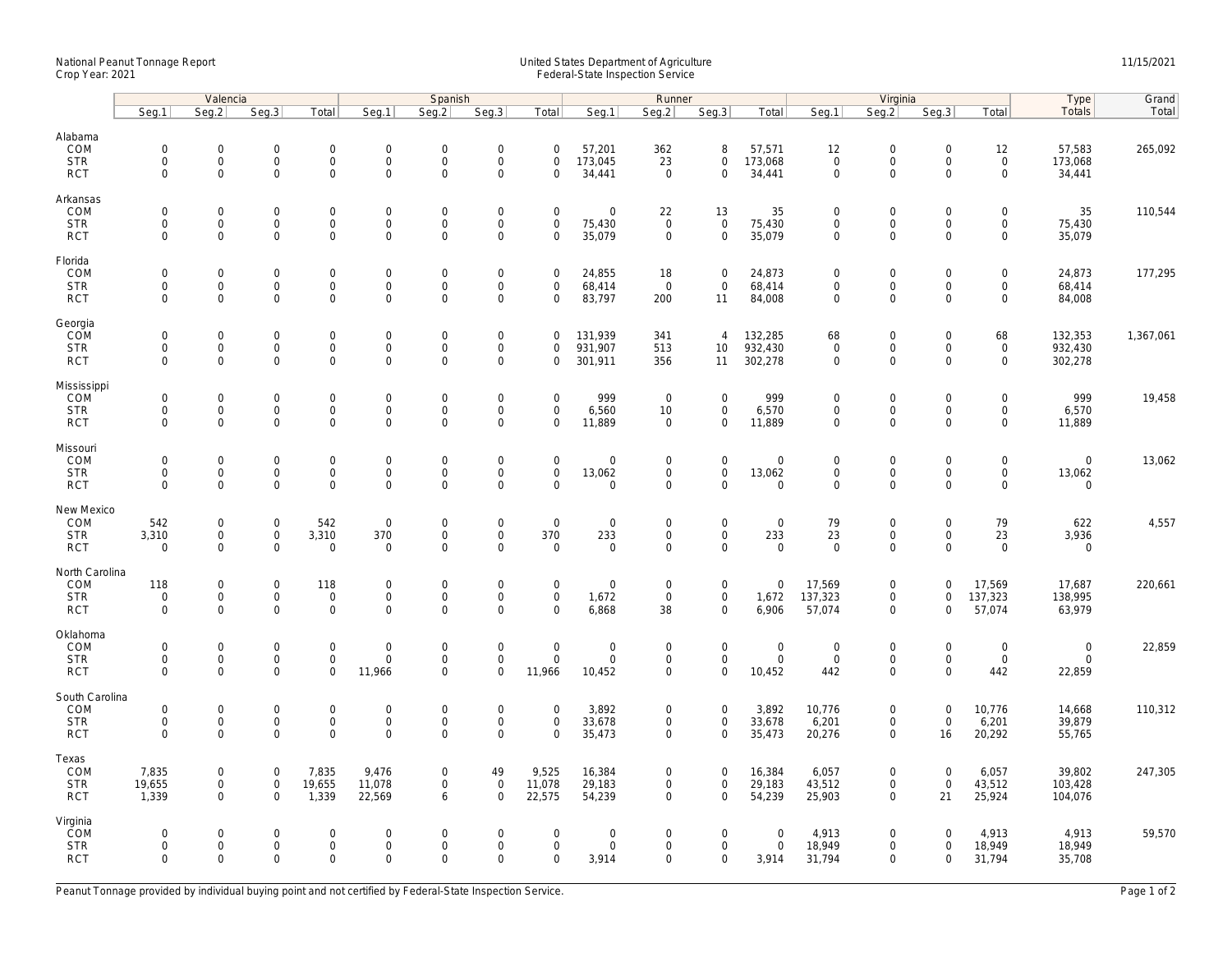## National Peanut Tonnage Report United States Department of Agriculture 11/15/2021<br>Crop Year: 2021 Federal-State Inspection Service

|                                                    | Valencia                                          |                                                           |                                                   |                                           | Spanish                                            |                                                 |                                                        |                                                   |                                           | Runner                                                    |                                                 |                                         | Virginia                                           |                                                 |                                                |                                                   | Type                                         | Grand     |
|----------------------------------------------------|---------------------------------------------------|-----------------------------------------------------------|---------------------------------------------------|-------------------------------------------|----------------------------------------------------|-------------------------------------------------|--------------------------------------------------------|---------------------------------------------------|-------------------------------------------|-----------------------------------------------------------|-------------------------------------------------|-----------------------------------------|----------------------------------------------------|-------------------------------------------------|------------------------------------------------|---------------------------------------------------|----------------------------------------------|-----------|
|                                                    | Seg.1                                             | Seg.2                                                     | Seg.3                                             | Total                                     | Seg.1                                              | Seq.2                                           | Seg.3                                                  | Total                                             | Seg.1                                     | Seg.2                                                     | Seg.3                                           | Total                                   | Seg.1                                              | Seq.2                                           | Seg.3                                          | Total                                             | Totals                                       | Total     |
| Alabama<br>COM<br><b>STR</b><br><b>RCT</b>         | $\mathsf 0$<br>$\mathbf 0$<br>$\mathbf 0$         | $\mathsf{O}\xspace$<br>$\mathsf{O}\xspace$<br>$\Omega$    | $\mathbf 0$<br>$\mathbf 0$<br>$\Omega$            | 0<br>$\mathsf{O}\xspace$<br>$\mathbf 0$   | $\mathsf{O}\xspace$<br>$\mathbf 0$<br>$\mathbf{0}$ | 0<br>$\mathbf 0$<br>$\mathbf 0$                 | $\mathbf 0$<br>$\mathbf 0$<br>$\mathbf{0}$             | $\mathbf 0$<br>$\mathbf 0$<br>$\mathbf 0$         | 57,201<br>173,045<br>34,441               | 362<br>23<br>$\Omega$                                     | 8<br>0<br>$\mathbf 0$                           | 57,571<br>173,068<br>34,441             | 12<br>$\mathsf 0$<br>$\mathbf 0$                   | $\mathbf 0$<br>$\mathbf 0$<br>$\mathbf{0}$      | $\mathbf 0$<br>$\mathsf{O}\xspace$<br>$\Omega$ | 12<br>$\mathsf{O}$<br>$\mathbf 0$                 | 57,583<br>173,068<br>34,441                  | 265,092   |
| Arkansas<br>COM<br><b>STR</b><br><b>RCT</b>        | $\mathbf 0$<br>$\mathsf 0$<br>$\mathbf 0$         | $\mathbf 0$<br>$\mathsf{O}\xspace$<br>$\Omega$            | $\mathbf 0$<br>$\mathbf 0$<br>$\Omega$            | $\mathbf 0$<br>0<br>$\mathbf 0$           | $\mathbf{0}$<br>$\mathbf 0$<br>$\mathbf{0}$        | $\Omega$<br>$\mathsf{O}\xspace$<br>$\mathbf{0}$ | $\mathbf 0$<br>$\boldsymbol{0}$<br>$\mathbf{0}$        | $\mathbf 0$<br>$\mathbf 0$<br>$\mathbf 0$         | $\mathbf 0$<br>75,430<br>35,079           | 22<br>$\overline{0}$<br>$\mathbf 0$                       | 13<br>$\mathsf{O}\xspace$<br>$\mathbf 0$        | 35<br>75,430<br>35,079                  | $\mathbf 0$<br>$\mathsf{O}\xspace$<br>$\mathbf{0}$ | $\mathbf 0$<br>$\boldsymbol{0}$<br>$\mathbf{0}$ | $\mathbf 0$<br>$\mathsf{O}\xspace$<br>$\Omega$ | $\mathbf 0$<br>$\mathbf 0$<br>$\mathbf 0$         | 35<br>75,430<br>35,079                       | 110,544   |
| Florida<br>COM<br><b>STR</b><br><b>RCT</b>         | $\mathbf 0$<br>$\mathbf 0$<br>$\mathbf 0$         | $\mathsf{O}\xspace$<br>$\mathbf 0$<br>$\mathbf 0$         | $\mathsf{O}\xspace$<br>$\mathbf 0$<br>$\mathbf 0$ | 0<br>0<br>$\mathsf{O}\xspace$             | $\mathbf 0$<br>$\mathbf 0$<br>$\mathbf 0$          | $\Omega$<br>0<br>$\mathsf{O}$                   | $\mathbf 0$<br>$\mathbf 0$<br>$\mathbf 0$              | $\mathbf 0$<br>$\mathbf 0$<br>$\mathbf 0$         | 24,855<br>68,414<br>83,797                | 18<br>$\overline{0}$<br>200                               | $\mathbf 0$<br>$\mathbf 0$<br>11                | 24,873<br>68,414<br>84,008              | $\Omega$<br>$\mathbf 0$<br>$\mathsf 0$             | $\mathbf 0$<br>$\mathbf 0$<br>$\mathbf 0$       | $\mathbf 0$<br>$\mathbf 0$<br>$\mathbf 0$      | $\mathsf{O}\xspace$<br>$\mathbf 0$<br>$\mathbf 0$ | 24,873<br>68,414<br>84,008                   | 177,295   |
| Georgia<br>COM<br><b>STR</b><br><b>RCT</b>         | $\mathbf 0$<br>$\mathsf 0$<br>$\mathbf 0$         | $\mathbf 0$<br>$\mathsf{O}\xspace$<br>$\Omega$            | $\mathbf 0$<br>$\mathbf 0$<br>$\mathbf 0$         | 0<br>$\mathbf 0$<br>$\mathbf 0$           | $\mathbf 0$<br>$\mathbf{0}$<br>$\mathbf 0$         | $\mathbf 0$<br>$\mathbf{0}$<br>$\mathbf 0$      | $\boldsymbol{0}$<br>$\mathsf{O}\xspace$<br>$\mathbf 0$ | $\mathbf 0$<br>$\mathbf 0$<br>$\mathbf 0$         | 131,939<br>931,907<br>301,911             | 341<br>513<br>356                                         | $\overline{4}$<br>10<br>11                      | 132,285<br>932,430<br>302,278           | 68<br>$\mathsf{O}\xspace$<br>$\mathbf{0}$          | $\mathbf 0$<br>$\mathbf 0$<br>$\mathbf 0$       | $\mathbf 0$<br>$\mathbf 0$<br>$\Omega$         | 68<br>$\mathsf{O}$<br>$\mathbf 0$                 | 132,353<br>932,430<br>302,278                | 1,367,061 |
| Mississippi<br>COM<br><b>STR</b><br><b>RCT</b>     | $\mathbf 0$<br>$\mathsf{O}\xspace$<br>$\mathbf 0$ | $\mathbf 0$<br>$\mathsf{O}\xspace$<br>$\Omega$            | $\mathbf 0$<br>$\mathbf 0$<br>$\mathbf 0$         | $\mathbf 0$<br>$\mathsf{O}\xspace$<br>0   | $\mathbf 0$<br>$\mathbf 0$<br>$\mathbf 0$          | $\mathbf 0$<br>0<br>0                           | $\boldsymbol{0}$<br>$\mathbf 0$<br>$\mathbf 0$         | $\mathbf 0$<br>$\mathsf{O}\xspace$<br>$\mathbf 0$ | 999<br>6,560<br>11,889                    | $\mathbf 0$<br>10<br>$\mathbf 0$                          | $\mathbf 0$<br>0<br>$\mathbf 0$                 | 999<br>6,570<br>11,889                  | $\mathbf{0}$<br>$\mathsf 0$<br>$\mathsf 0$         | $\boldsymbol{0}$<br>$\mathbf 0$<br>$\mathbf 0$  | $\mathbf 0$<br>$\mathbf 0$<br>$\Omega$         | $\mathbf 0$<br>$\mathsf{O}\xspace$<br>$\mathbf 0$ | 999<br>6,570<br>11,889                       | 19,458    |
| Missouri<br>COM<br><b>STR</b><br><b>RCT</b>        | $\mathbf 0$<br>$\mathbf 0$<br>$\mathbf 0$         | $\mathsf{O}\xspace$<br>$\mathsf{O}\xspace$<br>$\mathbf 0$ | $\mathsf{O}\xspace$<br>$\mathbf 0$<br>$\mathbf 0$ | 0<br>0<br>$\mathsf{O}\xspace$             | $\mathbf 0$<br>$\mathbf 0$<br>$\mathbf 0$          | $\overline{0}$<br>0<br>0                        | $\mathbf 0$<br>$\mathbf 0$<br>$\mathbf 0$              | $\mathbf 0$<br>$\mathbf 0$<br>$\Omega$            | $\overline{0}$<br>13,062<br>$\Omega$      | $\mathsf{O}\xspace$<br>$\mathbf 0$<br>$\mathbf 0$         | 0<br>0<br>$\mathbf 0$                           | $\mathbf 0$<br>13,062<br>$\mathbf 0$    | $\mathbf 0$<br>$\mathbf 0$<br>$\mathbf 0$          | $\mathbf 0$<br>$\boldsymbol{0}$<br>$\mathbf{0}$ | $\mathbf 0$<br>$\mathbf 0$<br>$\mathbf 0$      | $\mathsf{O}\xspace$<br>$\mathbf 0$<br>$\mathbf 0$ | $\mathsf{O}\xspace$<br>13,062<br>$\mathbf 0$ | 13,062    |
| New Mexico<br>COM<br><b>STR</b><br><b>RCT</b>      | 542<br>3,310<br>$\mathbf 0$                       | $\mathbf 0$<br>$\mathsf 0$<br>$\Omega$                    | $\mathsf{O}\xspace$<br>$\mathbf 0$<br>$\Omega$    | 542<br>3,310<br>$\mathsf{O}\xspace$       | $\mathbf 0$<br>370<br>$\mathbf 0$                  | 0<br>$\mathbf{0}$<br>$\Omega$                   | $\boldsymbol{0}$<br>$\mathsf{O}\xspace$<br>$\mathbf 0$ | $\mathbf 0$<br>370<br>$\Omega$                    | $\mathbf 0$<br>233<br>$\mathsf{O}\xspace$ | $\mathsf{O}\xspace$<br>$\mathbf 0$<br>$\Omega$            | 0<br>$\mathsf{O}\xspace$<br>$\mathsf{O}\xspace$ | $\mathbf 0$<br>233<br>$\mathbf 0$       | 79<br>23<br>$\Omega$                               | $\mathbf 0$<br>$\mathbf 0$<br>$\mathbf 0$       | $\mathbf 0$<br>$\mathbf 0$<br>$\Omega$         | 79<br>23<br>$\mathsf 0$                           | 622<br>3,936<br>$\mathbf 0$                  | 4,557     |
| North Carolina<br>COM<br><b>STR</b><br><b>RCT</b>  | 118<br>$\mathbf 0$<br>$\mathbf 0$                 | $\mathsf{O}\xspace$<br>$\mathsf 0$<br>$\Omega$            | $\mathsf{O}\xspace$<br>$\mathbf 0$<br>$\Omega$    | 118<br>$\mathsf{O}\xspace$<br>$\mathbf 0$ | $\Omega$<br>$\mathbf 0$<br>$\mathbf 0$             | 0<br>$\mathbf 0$<br>$\mathbf 0$                 | $\boldsymbol{0}$<br>$\mathbf 0$<br>$\mathbf{0}$        | $\mathbf 0$<br>$\mathbf 0$<br>$\Omega$            | $\mathbf 0$<br>1,672<br>6,868             | $\mathbf 0$<br>$\mathbf 0$<br>38                          | 0<br>$\mathsf{O}\xspace$<br>$\mathbf 0$         | $\mathsf{O}\xspace$<br>1,672<br>6,906   | 17,569<br>137,323<br>57,074                        | $\boldsymbol{0}$<br>$\mathbf 0$<br>$\mathbf 0$  | $\mathbf 0$<br>$\mathbf 0$<br>$\Omega$         | 17,569<br>137,323<br>57,074                       | 17,687<br>138,995<br>63,979                  | 220,661   |
| Oklahoma<br>COM<br><b>STR</b><br><b>RCT</b>        | $\mathbf 0$<br>$\mathsf{O}\xspace$<br>$\mathbf 0$ | $\mathbf 0$<br>$\mathsf{O}\xspace$<br>$\Omega$            | $\mathbf 0$<br>$\mathbf 0$<br>$\Omega$            | $\mathbf 0$<br>0<br>$\mathbf 0$           | $\mathbf 0$<br>$\mathbf 0$<br>11,966               | $\mathbf 0$<br>$\mathbf 0$<br>$\mathbf 0$       | $\mathbf 0$<br>$\boldsymbol{0}$<br>$\mathbf 0$         | $\mathbf 0$<br>$\mathbf 0$<br>11,966              | $\mathbf 0$<br>$\mathbf 0$<br>10,452      | $\mathbf 0$<br>$\mathbf 0$<br>$\mathbf 0$                 | $\mathbf 0$<br>$\mathsf{O}$<br>$\mathbf 0$      | $\overline{0}$<br>$\mathbf 0$<br>10,452 | $\mathbf{0}$<br>$\mathsf 0$<br>442                 | $\mathbf 0$<br>$\boldsymbol{0}$<br>$\mathbf 0$  | $\mathbf 0$<br>$\mathbf 0$<br>$\Omega$         | $\mathsf{O}\xspace$<br>$\mathsf{O}$<br>442        | $\mathbf 0$<br>$\mathbf 0$<br>22,859         | 22,859    |
| South Carolina<br>COM<br><b>STR</b><br><b>RCT</b>  | $\mathsf{O}\xspace$<br>$\mathbf 0$<br>$\mathbf 0$ | $\mathsf{O}\xspace$<br>$\mathsf{O}\xspace$<br>$\mathbf 0$ | $\mathsf{O}\xspace$<br>$\mathbf 0$<br>$\mathbf 0$ | 0<br>0<br>$\mathbf 0$                     | $\mathsf{O}\xspace$<br>$\mathbf 0$<br>$\mathbf 0$  | 0<br>0<br>$\mathbf 0$                           | $\mathbf 0$<br>$\mathbf 0$<br>$\mathbf 0$              | $\mathbf 0$<br>$\mathsf{O}\xspace$<br>$\mathbf 0$ | 3,892<br>33,678<br>35,473                 | $\mathsf{O}\xspace$<br>$\mathsf{O}\xspace$<br>$\mathbf 0$ | $\mathbf 0$<br>0<br>$\mathbf 0$                 | 3,892<br>33,678<br>35,473               | 10,776<br>6,201<br>20,276                          | $\mathbf 0$<br>$\mathbf 0$<br>$\mathbf 0$       | $\mathbf 0$<br>$\mathsf{O}\xspace$<br>16       | 10,776<br>6,201<br>20,292                         | 14,668<br>39,879<br>55,765                   | 110,312   |
| Texas<br>COM<br><b>STR</b><br><b>RCT</b>           | 7,835<br>19,655<br>1,339                          | $\mathbf 0$<br>$\mathsf{O}\xspace$<br>$\Omega$            | $\mathbf 0$<br>$\mathbf 0$<br>$\Omega$            | 7,835<br>19,655<br>1,339                  | 9,476<br>11,078<br>22,569                          | 0<br>0<br>6                                     | 49<br>$\overline{0}$<br>$\mathbf 0$                    | 9,525<br>11,078<br>22,575                         | 16,384<br>29,183<br>54,239                | $\mathbf 0$<br>$\mathbf 0$<br>$\Omega$                    | 0<br>0<br>$\Omega$                              | 16,384<br>29,183<br>54,239              | 6,057<br>43,512<br>25,903                          | $\mathbf 0$<br>$\mathbf 0$<br>$\mathbf 0$       | $\mathbf 0$<br>$\mathbf 0$<br>21               | 6,057<br>43,512<br>25,924                         | 39,802<br>103,428<br>104,076                 | 247,305   |
| Virginia<br><b>COM</b><br><b>STR</b><br><b>RCT</b> | $\mathbf 0$<br>$\mathbf 0$<br>$\mathbf 0$         | $\mathbf 0$<br>$\mathsf{O}\xspace$<br>$\mathbf 0$         | $\mathbf 0$<br>$\mathbf 0$<br>$\mathbf 0$         | $\mathbf 0$<br>0<br>$\mathbf 0$           | $\mathbf 0$<br>$\mathbf 0$<br>$\mathbf 0$          | $\Omega$<br>0<br>$\mathbf 0$                    | $\mathbf 0$<br>$\mathbf 0$<br>$\mathbf 0$              | $\Omega$<br>$\mathsf{O}\xspace$<br>$\mathbf 0$    | $\mathbf 0$<br>$\mathsf 0$<br>3,914       | $\mathbf 0$<br>$\mathsf{O}\xspace$<br>$\mathbf 0$         | $\mathbf 0$<br>0<br>$\mathbf 0$                 | $\Omega$<br>$\mathbf 0$<br>3,914        | 4,913<br>18,949<br>31,794                          | $\mathbf 0$<br>$\mathbf 0$<br>$\mathbf 0$       | $\Omega$<br>$\mathbf 0$<br>$\mathbf 0$         | 4,913<br>18,949<br>31,794                         | 4,913<br>18,949<br>35,708                    | 59,570    |

Peanut Tonnage provided by individual buying point and not certified by Federal-State Inspection Service. Page 1 of 2